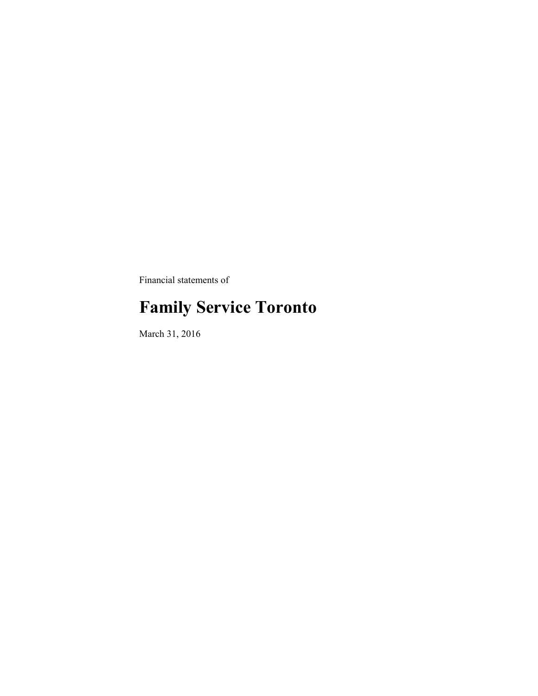Financial statements of

# **Family Service Toronto**

March 31, 2016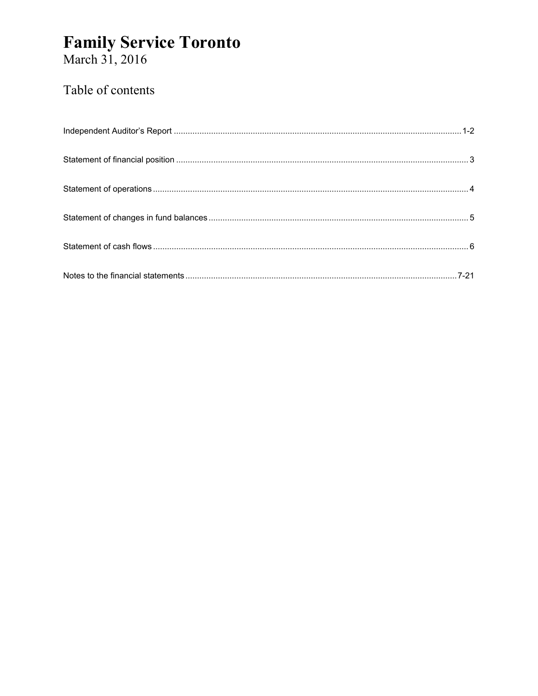# **Family Service Toronto**<br>March 31, 2016

### Table of contents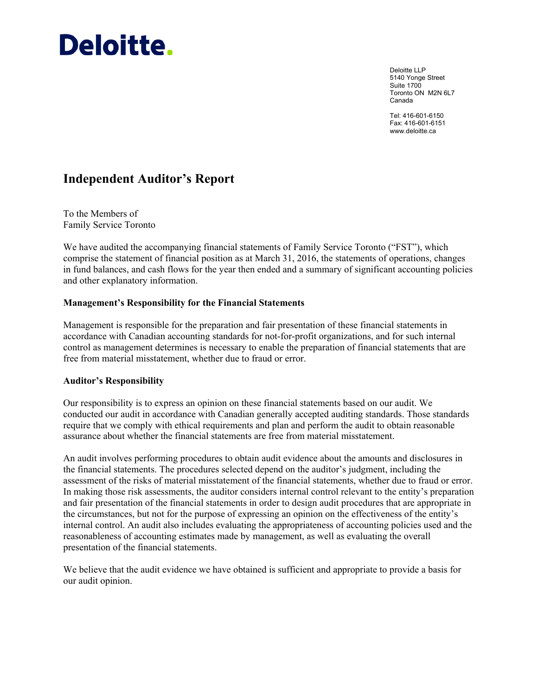# Deloitte.

Deloitte LLP 5140 Yonge Street Suite 1700 Toronto ON M2N 6L7 Canada

Tel: 416-601-6150 Fax: 416-601-6151 www.deloitte.ca

### **Independent Auditor's Report**

To the Members of Family Service Toronto

We have audited the accompanying financial statements of Family Service Toronto ("FST"), which comprise the statement of financial position as at March 31, 2016, the statements of operations, changes in fund balances, and cash flows for the year then ended and a summary of significant accounting policies and other explanatory information.

#### **Management's Responsibility for the Financial Statements**

Management is responsible for the preparation and fair presentation of these financial statements in accordance with Canadian accounting standards for not-for-profit organizations, and for such internal control as management determines is necessary to enable the preparation of financial statements that are free from material misstatement, whether due to fraud or error.

#### **Auditor's Responsibility**

Our responsibility is to express an opinion on these financial statements based on our audit. We conducted our audit in accordance with Canadian generally accepted auditing standards. Those standards require that we comply with ethical requirements and plan and perform the audit to obtain reasonable assurance about whether the financial statements are free from material misstatement.

An audit involves performing procedures to obtain audit evidence about the amounts and disclosures in the financial statements. The procedures selected depend on the auditor's judgment, including the assessment of the risks of material misstatement of the financial statements, whether due to fraud or error. In making those risk assessments, the auditor considers internal control relevant to the entity's preparation and fair presentation of the financial statements in order to design audit procedures that are appropriate in the circumstances, but not for the purpose of expressing an opinion on the effectiveness of the entity's internal control. An audit also includes evaluating the appropriateness of accounting policies used and the reasonableness of accounting estimates made by management, as well as evaluating the overall presentation of the financial statements.

We believe that the audit evidence we have obtained is sufficient and appropriate to provide a basis for our audit opinion.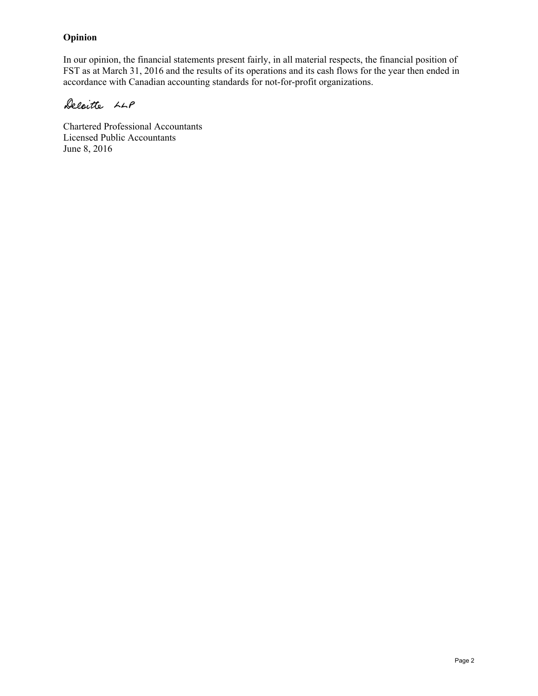#### **Opinion**

In our opinion, the financial statements present fairly, in all material respects, the financial position of FST as at March 31, 2016 and the results of its operations and its cash flows for the year then ended in accordance with Canadian accounting standards for not-for-profit organizations.

Deloitte LLP

Chartered Professional Accountants Licensed Public Accountants June 8, 2016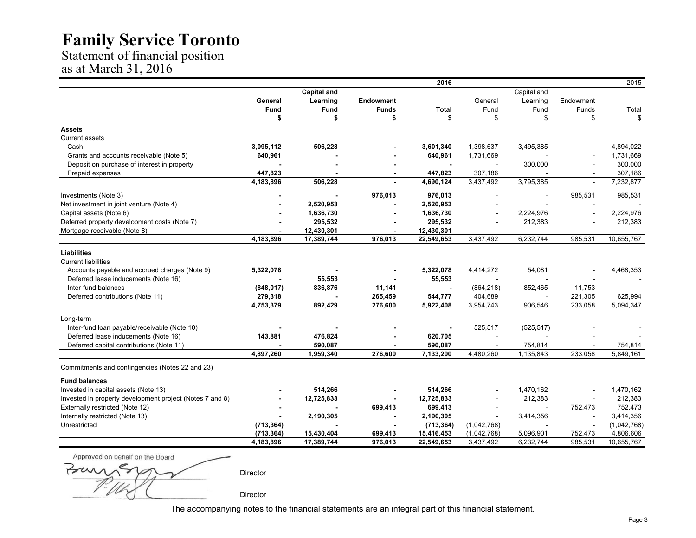Statement of financial position as at March 31, 2016

|                                                          |            |                    |              | 2016       |             |             |                          | 2015        |
|----------------------------------------------------------|------------|--------------------|--------------|------------|-------------|-------------|--------------------------|-------------|
|                                                          |            | <b>Capital and</b> |              |            |             | Capital and |                          |             |
|                                                          | General    | Learning           | Endowment    |            | General     | Learning    | Endowment                |             |
|                                                          | Fund       | <b>Fund</b>        | <b>Funds</b> | Total      | Fund        | Fund        | Funds                    | Total       |
|                                                          | \$         | \$                 | \$           | \$         | \$          | \$          | \$                       | \$          |
| <b>Assets</b>                                            |            |                    |              |            |             |             |                          |             |
| <b>Current assets</b>                                    |            |                    |              |            |             |             |                          |             |
| Cash                                                     | 3,095,112  | 506,228            |              | 3,601,340  | 1.398.637   | 3,495,385   |                          | 4,894,022   |
| Grants and accounts receivable (Note 5)                  | 640,961    |                    |              | 640,961    | 1,731,669   |             |                          | 1,731,669   |
| Deposit on purchase of interest in property              |            |                    |              |            |             | 300,000     |                          | 300,000     |
| Prepaid expenses                                         | 447,823    |                    |              | 447,823    | 307,186     |             |                          | 307,186     |
|                                                          | 4,183,896  | 506,228            |              | 4,690,124  | 3,437,492   | 3,795,385   |                          | 7,232,877   |
| Investments (Note 3)                                     |            |                    | 976,013      | 976,013    |             |             | 985,531                  | 985,531     |
| Net investment in joint venture (Note 4)                 |            | 2,520,953          |              | 2,520,953  |             |             |                          |             |
| Capital assets (Note 6)                                  |            | 1,636,730          |              | 1,636,730  |             | 2,224,976   |                          | 2,224,976   |
| Deferred property development costs (Note 7)             |            | 295,532            |              | 295,532    |             | 212,383     |                          | 212,383     |
| Mortgage receivable (Note 8)                             |            | 12,430,301         |              | 12,430,301 |             |             |                          |             |
|                                                          | 4,183,896  | 17,389,744         | 976,013      | 22,549,653 | 3,437,492   | 6,232,744   | 985,531                  | 10,655,767  |
| <b>Liabilities</b>                                       |            |                    |              |            |             |             |                          |             |
| <b>Current liabilities</b>                               |            |                    |              |            |             |             |                          |             |
| Accounts payable and accrued charges (Note 9)            | 5,322,078  |                    |              | 5,322,078  | 4,414,272   | 54,081      |                          | 4,468,353   |
| Deferred lease inducements (Note 16)                     |            | 55,553             |              | 55,553     |             |             |                          |             |
| Inter-fund balances                                      | (848, 017) | 836,876            | 11,141       |            | (864, 218)  | 852,465     | 11,753                   |             |
| Deferred contributions (Note 11)                         | 279,318    |                    | 265,459      | 544,777    | 404,689     |             | 221,305                  | 625,994     |
|                                                          | 4,753,379  | 892,429            | 276,600      | 5,922,408  | 3,954,743   | 906,546     | 233,058                  | 5,094,347   |
| Long-term                                                |            |                    |              |            |             |             |                          |             |
| Inter-fund Ioan payable/receivable (Note 10)             |            |                    |              |            | 525,517     | (525, 517)  |                          |             |
| Deferred lease inducements (Note 16)                     | 143,881    | 476,824            |              | 620,705    |             |             |                          |             |
| Deferred capital contributions (Note 11)                 |            | 590,087            |              | 590,087    |             | 754,814     |                          | 754,814     |
|                                                          | 4,897,260  | 1,959,340          | 276,600      | 7,133,200  | 4,480,260   | 1,135,843   | 233,058                  | 5,849,161   |
| Commitments and contingencies (Notes 22 and 23)          |            |                    |              |            |             |             |                          |             |
| <b>Fund balances</b>                                     |            |                    |              |            |             |             |                          |             |
| Invested in capital assets (Note 13)                     |            | 514,266            |              | 514.266    |             | 1,470,162   |                          | 1,470,162   |
| Invested in property development project (Notes 7 and 8) |            | 12,725,833         |              | 12,725,833 |             | 212,383     | $\overline{\phantom{a}}$ | 212,383     |
| Externally restricted (Note 12)                          |            |                    | 699,413      | 699,413    |             |             | 752,473                  | 752,473     |
| Internally restricted (Note 13)                          |            | 2,190,305          |              | 2,190,305  |             | 3,414,356   |                          | 3,414,356   |
| Unrestricted                                             | (713, 364) |                    |              | (713, 364) | (1,042,768) | $\sim$      | $\sim$                   | (1,042,768) |
|                                                          | (713, 364) | 15,430,404         | 699,413      | 15,416,453 | (1,042,768) | 5,096,901   | 752,473                  | 4,806,606   |
|                                                          | 4,183,896  | 17,389,744         | 976,013      | 22,549,653 | 3,437,492   | 6,232,744   | 985,531                  | 10,655,767  |
|                                                          |            |                    |              |            |             |             |                          |             |

Approved on behalf on the Board Bur  $\blacksquare$ 

\_\_\_\_\_\_\_\_\_\_\_\_\_\_\_\_\_\_\_\_\_\_\_\_\_\_\_\_\_\_\_\_\_\_\_\_\_\_\_\_\_\_\_

Director

Director

The accompanying notes to the financial statements are an integral part of this financial statement.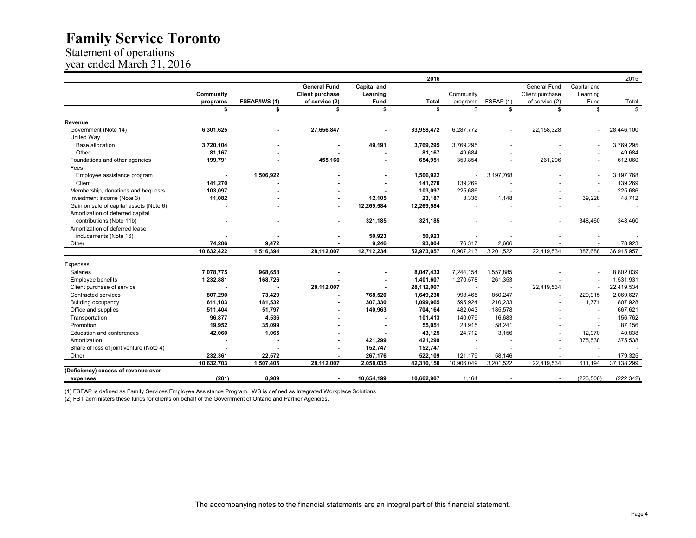#### Statement of operations year ended March 31, 2016

|                                         |                |               |                          |             | 2016         |                          |           |                          |                          | 2015       |
|-----------------------------------------|----------------|---------------|--------------------------|-------------|--------------|--------------------------|-----------|--------------------------|--------------------------|------------|
|                                         |                |               | <b>General Fund</b>      | Capital and |              |                          |           | General Fund             | Capital and              |            |
|                                         | Community      |               | <b>Client purchase</b>   | Learning    |              | Community                |           | Client purchase          | Learning                 |            |
|                                         | programs       | FSEAP/IWS (1) | of service (2)           | Fund        | <b>Total</b> | programs                 | FSEAP(1)  | of service (2)           | Fund                     | Total      |
|                                         | \$             | \$            | \$                       | \$          | \$           | \$                       | \$        | \$                       | \$                       | \$         |
| Revenue                                 |                |               |                          |             |              |                          |           |                          |                          |            |
| Government (Note 14)                    | 6,301,625      |               | 27,656,847               |             | 33,958,472   | 6,287,772                |           | 22, 158, 328             |                          | 28,446,100 |
| United Way                              |                |               |                          |             |              |                          |           |                          |                          |            |
| Base allocation                         | 3,720,104      |               |                          | 49,191      | 3,769,295    | 3,769,295                |           |                          |                          | 3,769,295  |
| Other                                   | 81,167         |               |                          |             | 81,167       | 49,684                   |           |                          |                          | 49,684     |
| Foundations and other agencies          | 199,791        |               | 455,160                  |             | 654,951      | 350,854                  |           | 261,206                  |                          | 612,060    |
| Fees                                    |                |               |                          |             |              |                          |           |                          |                          |            |
| Employee assistance program             | $\blacksquare$ | 1,506,922     |                          |             | 1,506,922    |                          | 3,197,768 |                          |                          | 3,197,768  |
| Client                                  | 141,270        |               |                          |             | 141,270      | 139,269                  |           |                          |                          | 139,269    |
| Membership, donations and bequests      | 103,097        |               |                          |             | 103,097      | 225,686                  |           |                          | $\overline{\phantom{a}}$ | 225,686    |
| Investment income (Note 3)              | 11,082         |               |                          | 12,105      | 23,187       | 8,336                    | 1,148     |                          | 39,228                   | 48,712     |
| Gain on sale of capital assets (Note 6) |                |               |                          | 12,269,584  | 12,269,584   |                          |           |                          |                          |            |
| Amortization of deferred capital        |                |               |                          |             |              |                          |           |                          |                          |            |
| contributions (Note 11b)                |                |               |                          | 321,185     | 321,185      |                          |           |                          | 348,460                  | 348.460    |
| Amortization of deferred lease          |                |               |                          |             |              |                          |           |                          |                          |            |
| inducements (Note 16)                   |                |               |                          | 50,923      | 50,923       |                          |           |                          |                          |            |
| Other                                   | 74,286         | 9,472         |                          | 9,246       | 93,004       | 76,317                   | 2,606     |                          |                          | 78,923     |
|                                         | 10,632,422     | 1,516,394     | 28,112,007               | 12,712,234  | 52,973,057   | 10,907,213               | 3,201,522 | 22,419,534               | 387,688                  | 36,915,957 |
|                                         |                |               |                          |             |              |                          |           |                          |                          |            |
| Expenses                                |                |               |                          |             |              |                          |           |                          |                          |            |
| Salaries                                | 7,078,775      | 968,658       |                          |             | 8,047,433    | 7,244,154                | 1,557,885 |                          |                          | 8,802,039  |
| <b>Employee benefits</b>                | 1,232,881      | 168,726       |                          |             | 1,401,607    | 1,270,578                | 261,353   |                          |                          | 1,531,931  |
| Client purchase of service              |                |               | 28,112,007               |             | 28,112,007   | $\overline{\phantom{a}}$ |           | 22,419,534               |                          | 22,419,534 |
| Contracted services                     | 807,290        | 73,420        |                          | 768,520     | 1.649.230    | 998,465                  | 850.247   | $\overline{\phantom{a}}$ | 220,915                  | 2,069,627  |
| <b>Building occupancy</b>               | 611,103        | 181,532       |                          | 307,330     | 1,099,965    | 595,924                  | 210,233   |                          | 1,771                    | 807,928    |
| Office and supplies                     | 511,404        | 51,797        |                          | 140,963     | 704,164      | 482,043                  | 185,578   |                          |                          | 667,621    |
| Transportation                          | 96,877         | 4,536         |                          |             | 101,413      | 140,079                  | 16.683    |                          |                          | 156,762    |
| Promotion                               | 19,952         | 35,099        |                          |             | 55,051       | 28,915                   | 58,241    |                          |                          | 87,156     |
| Education and conferences               | 42,060         | 1,065         |                          |             | 43,125       | 24,712                   | 3.156     |                          | 12,970                   | 40,838     |
| Amortization                            |                |               |                          | 421,299     | 421,299      |                          |           |                          | 375,538                  | 375,538    |
| Share of loss of joint venture (Note 4) |                |               |                          | 152,747     | 152,747      |                          |           |                          |                          |            |
| Other                                   | 232,361        | 22,572        |                          | 267,176     | 522.109      | 121,179                  | 58,146    |                          |                          | 179,325    |
|                                         | 10,632,703     | 1,507,405     | 28,112,007               | 2,058,035   | 42,310,150   | 10,906,049               | 3,201,522 | 22,419,534               | 611,194                  | 37,138,299 |
| (Deficiency) excess of revenue over     |                |               |                          |             |              |                          |           |                          |                          |            |
| expenses                                | (281)          | 8,989         | $\overline{\phantom{a}}$ | 10,654,199  | 10,662,907   | 1,164                    |           | $\sim$                   | (223, 506)               | (222, 342) |

(1) FSEAP is defined as Family Services Employee Assistance Program. IWS is defined as Integrated Workplace Solutions

(2) FST administers these funds for clients on behalf of the Government of Ontario and Partner Agencies.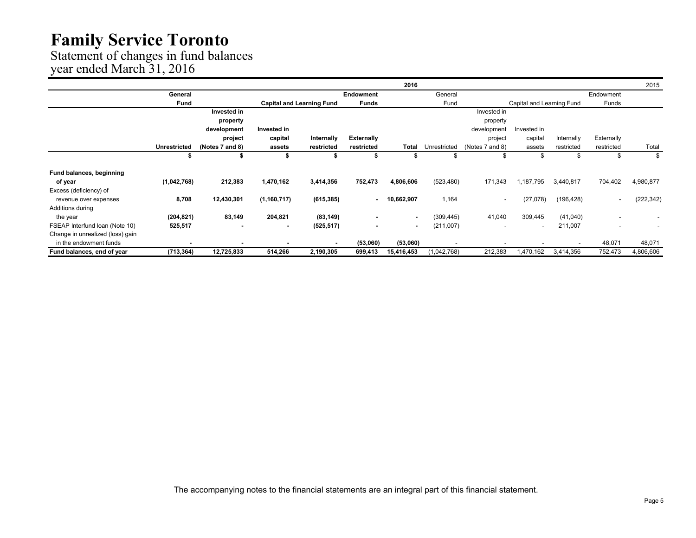### Statement of changes in fund balances

year ended March 31, 2016

|                                  |                     |                          |                          |                                  |                   | 2016         |              |                 |                           |            |                | 2015       |
|----------------------------------|---------------------|--------------------------|--------------------------|----------------------------------|-------------------|--------------|--------------|-----------------|---------------------------|------------|----------------|------------|
|                                  | General             |                          |                          |                                  | <b>Endowment</b>  |              | General      |                 |                           |            | Endowment      |            |
|                                  | Fund                |                          |                          | <b>Capital and Learning Fund</b> | <b>Funds</b>      |              | Fund         |                 | Capital and Learning Fund |            | Funds          |            |
|                                  |                     | <b>Invested in</b>       |                          |                                  |                   |              |              | Invested in     |                           |            |                |            |
|                                  |                     | property                 |                          |                                  |                   |              |              | property        |                           |            |                |            |
|                                  |                     | development              | Invested in              |                                  |                   |              |              | development     | Invested in               |            |                |            |
|                                  |                     | project                  | capital                  | Internally                       | <b>Externally</b> |              |              | project         | capital                   | Internally | Externally     |            |
|                                  | <b>Unrestricted</b> | (Notes 7 and 8)          | assets                   | restricted                       | restricted        | <b>Total</b> | Unrestricted | (Notes 7 and 8) | assets                    | restricted | restricted     | Total      |
|                                  |                     |                          |                          |                                  |                   |              |              | \$              | S                         | \$         | S              | S          |
| Fund balances, beginning         |                     |                          |                          |                                  |                   |              |              |                 |                           |            |                |            |
| of year                          | (1,042,768)         | 212,383                  | 1,470,162                | 3,414,356                        | 752,473           | 4,806,606    | (523, 480)   | 171,343         | 1,187,795                 | 3,440,817  | 704,402        | 4,980,877  |
| Excess (deficiency) of           |                     |                          |                          |                                  |                   |              |              |                 |                           |            |                |            |
| revenue over expenses            | 8,708               | 12,430,301               | (1, 160, 717)            | (615, 385)                       | . .               | 10,662,907   | 1,164        |                 | (27,078)                  | (196, 428) |                | (222, 342) |
| Additions during                 |                     |                          |                          |                                  |                   |              |              |                 |                           |            |                |            |
| the year                         | (204, 821)          | 83,149                   | 204,821                  | (83, 149)                        |                   | $\sim$       | (309, 445)   | 41,040          | 309,445                   | (41,040)   |                |            |
| FSEAP Interfund Ioan (Note 10)   | 525,517             | $\overline{\phantom{a}}$ | $\overline{\phantom{a}}$ | (525, 517)                       | $\blacksquare$    | $\sim$       | (211,007)    |                 | $\overline{\phantom{a}}$  | 211,007    | $\blacksquare$ |            |
| Change in unrealized (loss) gain |                     |                          |                          |                                  |                   |              |              |                 |                           |            |                |            |
| in the endowment funds           | ۰                   |                          |                          |                                  | (53,060)          | (53,060)     |              |                 |                           |            | 48,071         | 48,071     |
| Fund balances, end of year       | (713,364)           | 12,725,833               | 514,266                  | 2,190,305                        | 699,413           | 15,416,453   | (1,042,768)  | 212,383         | 1,470,162                 | 3,414,356  | 752,473        | 4,806,606  |

The accompanying notes to the financial statements are an integral part of this financial statement.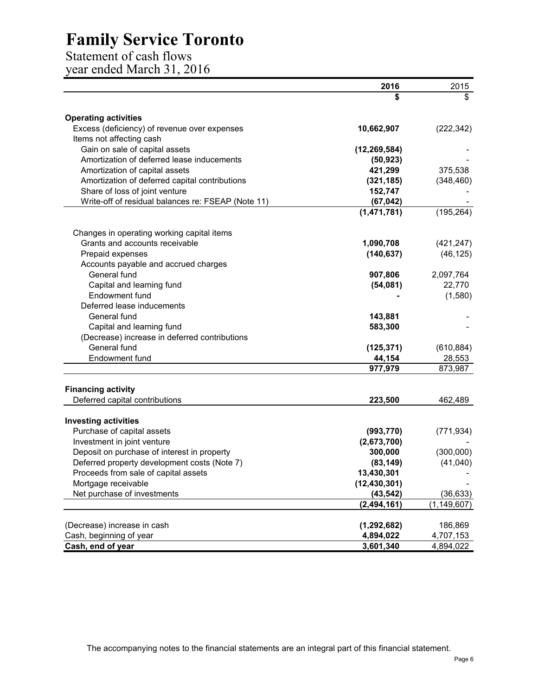Statement of cash flows year ended March 31, 2016

|                                                            | 2016                        | 2015          |
|------------------------------------------------------------|-----------------------------|---------------|
|                                                            | \$                          | \$            |
|                                                            |                             |               |
| <b>Operating activities</b>                                |                             |               |
| Excess (deficiency) of revenue over expenses               | 10,662,907                  | (222, 342)    |
| Items not affecting cash<br>Gain on sale of capital assets |                             |               |
| Amortization of deferred lease inducements                 | (12, 269, 584)<br>(50, 923) |               |
| Amortization of capital assets                             | 421,299                     | 375,538       |
| Amortization of deferred capital contributions             | (321, 185)                  | (348, 460)    |
| Share of loss of joint venture                             | 152,747                     |               |
| Write-off of residual balances re: FSEAP (Note 11)         | (67, 042)                   |               |
|                                                            | (1,471,781)                 | (195, 264)    |
|                                                            |                             |               |
| Changes in operating working capital items                 |                             |               |
| Grants and accounts receivable                             | 1,090,708                   | (421, 247)    |
| Prepaid expenses                                           | (140, 637)                  | (46, 125)     |
| Accounts payable and accrued charges                       |                             |               |
| General fund                                               | 907,806                     | 2,097,764     |
| Capital and learning fund                                  | (54,081)                    | 22,770        |
| Endowment fund                                             |                             | (1,580)       |
| Deferred lease inducements                                 |                             |               |
| General fund                                               | 143,881                     |               |
| Capital and learning fund                                  | 583,300                     |               |
| (Decrease) increase in deferred contributions              |                             |               |
| General fund                                               | (125, 371)                  | (610, 884)    |
| Endowment fund                                             | 44,154                      | 28,553        |
|                                                            | 977,979                     | 873,987       |
| <b>Financing activity</b>                                  |                             |               |
| Deferred capital contributions                             | 223,500                     | 462,489       |
|                                                            |                             |               |
| <b>Investing activities</b>                                |                             |               |
| Purchase of capital assets                                 | (993, 770)                  | (771, 934)    |
| Investment in joint venture                                | (2,673,700)                 |               |
| Deposit on purchase of interest in property                | 300,000                     | (300,000)     |
| Deferred property development costs (Note 7)               | (83, 149)                   | (41,040)      |
| Proceeds from sale of capital assets                       | 13,430,301                  |               |
| Mortgage receivable                                        | (12, 430, 301)              |               |
| Net purchase of investments                                | (43, 542)                   | (36, 633)     |
|                                                            | (2, 494, 161)               | (1, 149, 607) |
| (Decrease) increase in cash                                | (1, 292, 682)               | 186,869       |
| Cash, beginning of year                                    | 4,894,022                   | 4,707,153     |
| Cash, end of year                                          | 3,601,340                   | 4,894,022     |

The accompanying notes to the financial statements are an integral part of this financial statement.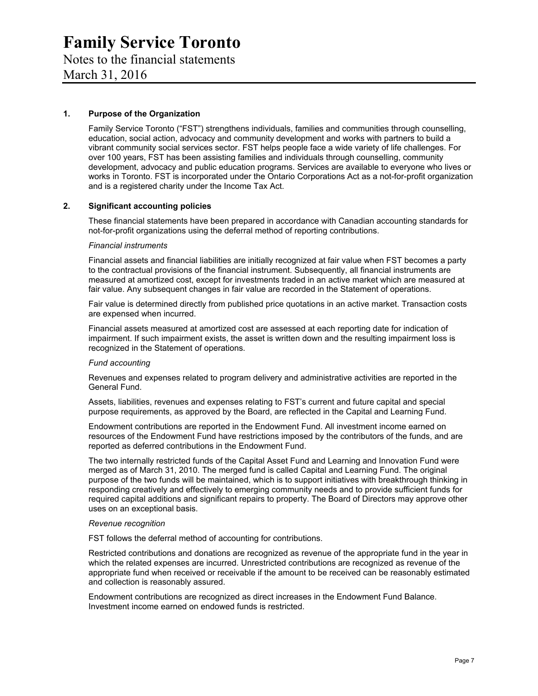# Notes to the financial statements

March 31, 2016

#### **1. Purpose of the Organization**

Family Service Toronto ("FST") strengthens individuals, families and communities through counselling, education, social action, advocacy and community development and works with partners to build a vibrant community social services sector. FST helps people face a wide variety of life challenges. For over 100 years, FST has been assisting families and individuals through counselling, community development, advocacy and public education programs. Services are available to everyone who lives or works in Toronto. FST is incorporated under the Ontario Corporations Act as a not-for-profit organization and is a registered charity under the Income Tax Act.

#### **2. Significant accounting policies**

These financial statements have been prepared in accordance with Canadian accounting standards for not-for-profit organizations using the deferral method of reporting contributions.

#### *Financial instruments*

Financial assets and financial liabilities are initially recognized at fair value when FST becomes a party to the contractual provisions of the financial instrument. Subsequently, all financial instruments are measured at amortized cost, except for investments traded in an active market which are measured at fair value. Any subsequent changes in fair value are recorded in the Statement of operations.

Fair value is determined directly from published price quotations in an active market. Transaction costs are expensed when incurred.

Financial assets measured at amortized cost are assessed at each reporting date for indication of impairment. If such impairment exists, the asset is written down and the resulting impairment loss is recognized in the Statement of operations.

#### *Fund accounting*

Revenues and expenses related to program delivery and administrative activities are reported in the General Fund.

Assets, liabilities, revenues and expenses relating to FST's current and future capital and special purpose requirements, as approved by the Board, are reflected in the Capital and Learning Fund.

Endowment contributions are reported in the Endowment Fund. All investment income earned on resources of the Endowment Fund have restrictions imposed by the contributors of the funds, and are reported as deferred contributions in the Endowment Fund.

The two internally restricted funds of the Capital Asset Fund and Learning and Innovation Fund were merged as of March 31, 2010. The merged fund is called Capital and Learning Fund. The original purpose of the two funds will be maintained, which is to support initiatives with breakthrough thinking in responding creatively and effectively to emerging community needs and to provide sufficient funds for required capital additions and significant repairs to property. The Board of Directors may approve other uses on an exceptional basis.

#### *Revenue recognition*

FST follows the deferral method of accounting for contributions.

Restricted contributions and donations are recognized as revenue of the appropriate fund in the year in which the related expenses are incurred. Unrestricted contributions are recognized as revenue of the appropriate fund when received or receivable if the amount to be received can be reasonably estimated and collection is reasonably assured.

Endowment contributions are recognized as direct increases in the Endowment Fund Balance. Investment income earned on endowed funds is restricted.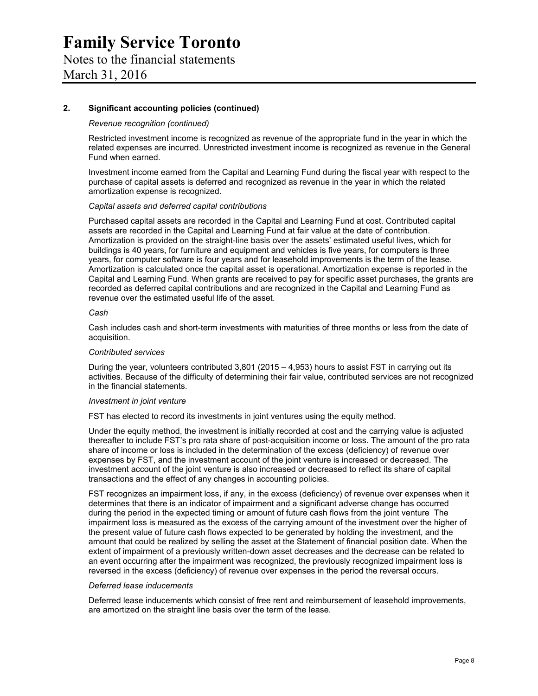#### **2. Significant accounting policies (continued)**

#### *Revenue recognition (continued)*

Restricted investment income is recognized as revenue of the appropriate fund in the year in which the related expenses are incurred. Unrestricted investment income is recognized as revenue in the General Fund when earned.

Investment income earned from the Capital and Learning Fund during the fiscal year with respect to the purchase of capital assets is deferred and recognized as revenue in the year in which the related amortization expense is recognized.

#### *Capital assets and deferred capital contributions*

Purchased capital assets are recorded in the Capital and Learning Fund at cost. Contributed capital assets are recorded in the Capital and Learning Fund at fair value at the date of contribution. Amortization is provided on the straight-line basis over the assets' estimated useful lives, which for buildings is 40 years, for furniture and equipment and vehicles is five years, for computers is three years, for computer software is four years and for leasehold improvements is the term of the lease. Amortization is calculated once the capital asset is operational. Amortization expense is reported in the Capital and Learning Fund. When grants are received to pay for specific asset purchases, the grants are recorded as deferred capital contributions and are recognized in the Capital and Learning Fund as revenue over the estimated useful life of the asset.

#### *Cash*

Cash includes cash and short-term investments with maturities of three months or less from the date of acquisition.

#### *Contributed services*

During the year, volunteers contributed 3,801 (2015 – 4,953) hours to assist FST in carrying out its activities. Because of the difficulty of determining their fair value, contributed services are not recognized in the financial statements.

#### *Investment in joint venture*

FST has elected to record its investments in joint ventures using the equity method.

Under the equity method, the investment is initially recorded at cost and the carrying value is adjusted thereafter to include FST's pro rata share of post-acquisition income or loss. The amount of the pro rata share of income or loss is included in the determination of the excess (deficiency) of revenue over expenses by FST, and the investment account of the joint venture is increased or decreased. The investment account of the joint venture is also increased or decreased to reflect its share of capital transactions and the effect of any changes in accounting policies.

FST recognizes an impairment loss, if any, in the excess (deficiency) of revenue over expenses when it determines that there is an indicator of impairment and a significant adverse change has occurred during the period in the expected timing or amount of future cash flows from the joint venture The impairment loss is measured as the excess of the carrying amount of the investment over the higher of the present value of future cash flows expected to be generated by holding the investment, and the amount that could be realized by selling the asset at the Statement of financial position date. When the extent of impairment of a previously written-down asset decreases and the decrease can be related to an event occurring after the impairment was recognized, the previously recognized impairment loss is reversed in the excess (deficiency) of revenue over expenses in the period the reversal occurs.

#### *Deferred lease inducements*

Deferred lease inducements which consist of free rent and reimbursement of leasehold improvements, are amortized on the straight line basis over the term of the lease.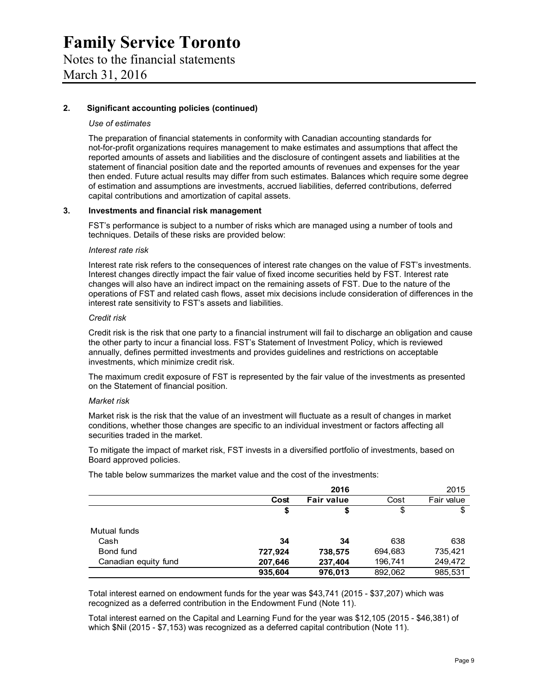#### **2. Significant accounting policies (continued)**

#### *Use of estimates*

The preparation of financial statements in conformity with Canadian accounting standards for not-for-profit organizations requires management to make estimates and assumptions that affect the reported amounts of assets and liabilities and the disclosure of contingent assets and liabilities at the statement of financial position date and the reported amounts of revenues and expenses for the year then ended. Future actual results may differ from such estimates. Balances which require some degree of estimation and assumptions are investments, accrued liabilities, deferred contributions, deferred capital contributions and amortization of capital assets.

#### **3. Investments and financial risk management**

FST's performance is subject to a number of risks which are managed using a number of tools and techniques. Details of these risks are provided below:

#### *Interest rate risk*

Interest rate risk refers to the consequences of interest rate changes on the value of FST's investments. Interest changes directly impact the fair value of fixed income securities held by FST. Interest rate changes will also have an indirect impact on the remaining assets of FST. Due to the nature of the operations of FST and related cash flows, asset mix decisions include consideration of differences in the interest rate sensitivity to FST's assets and liabilities.

#### *Credit risk*

Credit risk is the risk that one party to a financial instrument will fail to discharge an obligation and cause the other party to incur a financial loss. FST's Statement of Investment Policy, which is reviewed annually, defines permitted investments and provides guidelines and restrictions on acceptable investments, which minimize credit risk.

The maximum credit exposure of FST is represented by the fair value of the investments as presented on the Statement of financial position.

#### *Market risk*

Market risk is the risk that the value of an investment will fluctuate as a result of changes in market conditions, whether those changes are specific to an individual investment or factors affecting all securities traded in the market.

To mitigate the impact of market risk, FST invests in a diversified portfolio of investments, based on Board approved policies.

The table below summarizes the market value and the cost of the investments:

|                      |         | 2016              |         | 2015       |
|----------------------|---------|-------------------|---------|------------|
|                      | Cost    | <b>Fair value</b> | Cost    | Fair value |
|                      |         |                   | \$      | \$         |
| Mutual funds         |         |                   |         |            |
| Cash                 | 34      | 34                | 638     | 638        |
| Bond fund            | 727,924 | 738,575           | 694,683 | 735.421    |
| Canadian equity fund | 207,646 | 237,404           | 196,741 | 249,472    |
|                      | 935,604 | 976,013           | 892,062 | 985.531    |

Total interest earned on endowment funds for the year was \$43,741 (2015 - \$37,207) which was recognized as a deferred contribution in the Endowment Fund (Note 11).

Total interest earned on the Capital and Learning Fund for the year was \$12,105 (2015 - \$46,381) of which \$Nil (2015 - \$7,153) was recognized as a deferred capital contribution (Note 11).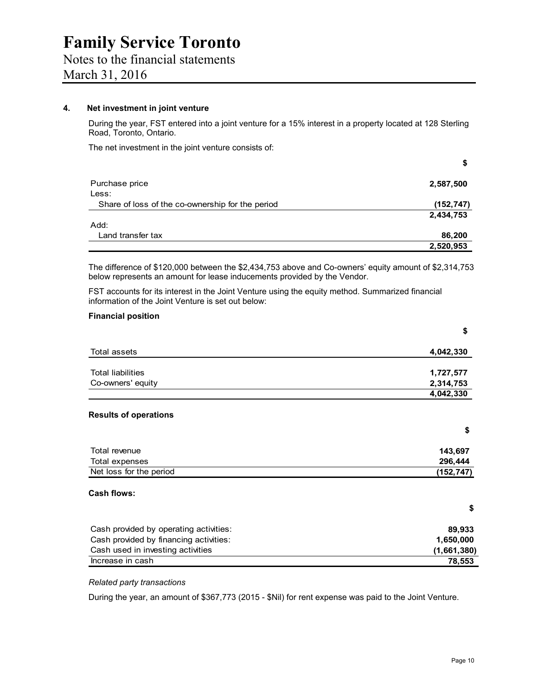### Notes to the financial statements March 31, 2016

#### **4. Net investment in joint venture**

During the year, FST entered into a joint venture for a 15% interest in a property located at 128 Sterling Road, Toronto, Ontario.

The net investment in the joint venture consists of:

|                                                  | \$         |
|--------------------------------------------------|------------|
| Purchase price                                   | 2,587,500  |
| Less:                                            |            |
| Share of loss of the co-ownership for the period | (152, 747) |
|                                                  | 2,434,753  |
| Add:                                             |            |
| Land transfer tax                                | 86,200     |
|                                                  | 2,520,953  |

The difference of \$120,000 between the \$2,434,753 above and Co-owners' equity amount of \$2,314,753 below represents an amount for lease inducements provided by the Vendor.

FST accounts for its interest in the Joint Venture using the equity method. Summarized financial information of the Joint Venture is set out below:

#### **Financial position**

|                                        | \$          |
|----------------------------------------|-------------|
| <b>Total assets</b>                    | 4,042,330   |
| <b>Total liabilities</b>               | 1,727,577   |
| Co-owners' equity                      | 2,314,753   |
|                                        | 4,042,330   |
| <b>Results of operations</b>           |             |
|                                        | \$          |
| Total revenue                          | 143,697     |
| Total expenses                         | 296,444     |
| Net loss for the period                | (152, 747)  |
| <b>Cash flows:</b>                     |             |
|                                        | \$          |
| Cash provided by operating activities: | 89,933      |
| Cash provided by financing activities: | 1,650,000   |
| Cash used in investing activities      | (1,661,380) |
| Increase in cash                       | 78,553      |

#### *Related party transactions*

During the year, an amount of \$367,773 (2015 - \$Nil) for rent expense was paid to the Joint Venture.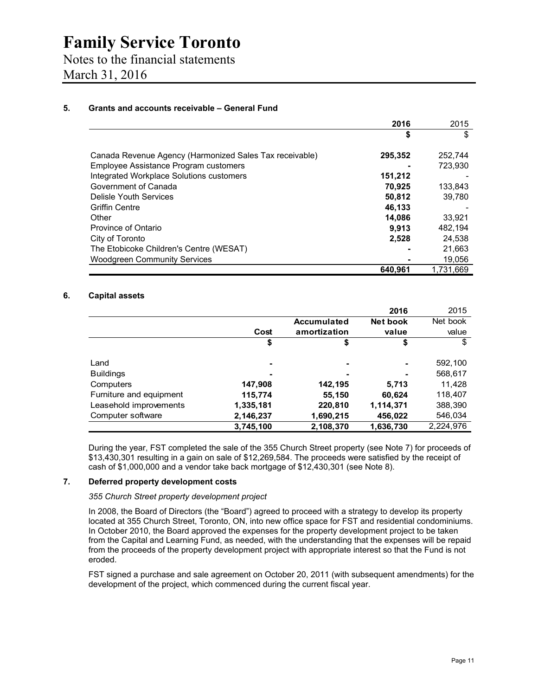### Notes to the financial statements March 31, 2016

#### **5. Grants and accounts receivable – General Fund**

|                                                         | 2016    | 2015      |
|---------------------------------------------------------|---------|-----------|
|                                                         | \$      | S         |
| Canada Revenue Agency (Harmonized Sales Tax receivable) | 295,352 | 252.744   |
| Employee Assistance Program customers                   |         | 723,930   |
| Integrated Workplace Solutions customers                | 151,212 |           |
| Government of Canada                                    | 70.925  | 133.843   |
| Delisle Youth Services                                  | 50,812  | 39.780    |
| <b>Griffin Centre</b>                                   | 46.133  |           |
| Other                                                   | 14,086  | 33.921    |
| Province of Ontario                                     | 9.913   | 482,194   |
| City of Toronto                                         | 2,528   | 24,538    |
| The Etobicoke Children's Centre (WESAT)                 |         | 21,663    |
| <b>Woodgreen Community Services</b>                     |         | 19,056    |
|                                                         | 640.961 | 1.731.669 |

#### **6. Capital assets**

|                         |           |                    | 2016      | 2015      |
|-------------------------|-----------|--------------------|-----------|-----------|
|                         |           | <b>Accumulated</b> | Net book  | Net book  |
|                         | Cost      | amortization       | value     | value     |
|                         | \$        | \$                 | \$        | S         |
|                         |           |                    |           |           |
| Land                    | -         | ٠                  | ۰         | 592,100   |
| <b>Buildings</b>        |           | -                  |           | 568,617   |
| Computers               | 147,908   | 142,195            | 5,713     | 11,428    |
| Furniture and equipment | 115,774   | 55,150             | 60,624    | 118,407   |
| Leasehold improvements  | 1,335,181 | 220,810            | 1,114,371 | 388,390   |
| Computer software       | 2,146,237 | 1,690,215          | 456,022   | 546,034   |
|                         | 3,745,100 | 2,108,370          | 1,636,730 | 2,224,976 |

During the year, FST completed the sale of the 355 Church Street property (see Note 7) for proceeds of \$13,430,301 resulting in a gain on sale of \$12,269,584. The proceeds were satisfied by the receipt of cash of \$1,000,000 and a vendor take back mortgage of \$12,430,301 (see Note 8).

#### **7. Deferred property development costs**

#### *355 Church Street property development project*

In 2008, the Board of Directors (the "Board") agreed to proceed with a strategy to develop its property located at 355 Church Street, Toronto, ON, into new office space for FST and residential condominiums. In October 2010, the Board approved the expenses for the property development project to be taken from the Capital and Learning Fund, as needed, with the understanding that the expenses will be repaid from the proceeds of the property development project with appropriate interest so that the Fund is not eroded.

FST signed a purchase and sale agreement on October 20, 2011 (with subsequent amendments) for the development of the project, which commenced during the current fiscal year.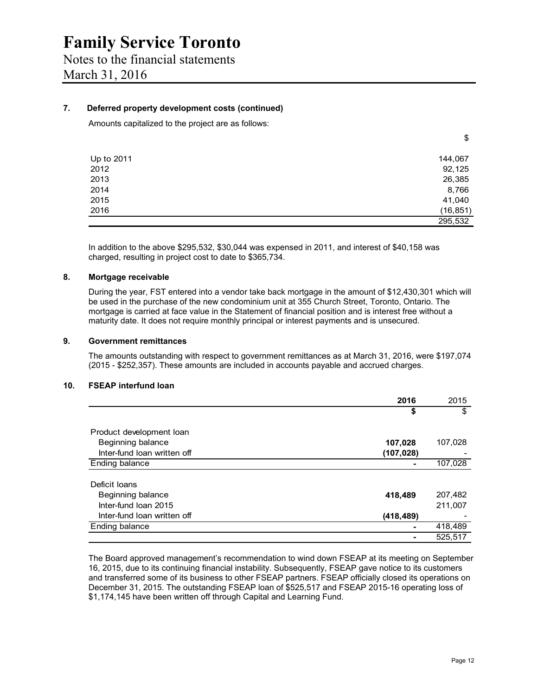#### **7. Deferred property development costs (continued)**

Amounts capitalized to the project are as follows:

| Up to 2011 | 144,067   |
|------------|-----------|
| 2012       | 92,125    |
| 2013       | 26,385    |
| 2014       | 8,766     |
| 2015       | 41,040    |
| 2016       | (16, 851) |
|            | 295,532   |

In addition to the above \$295,532, \$30,044 was expensed in 2011, and interest of \$40,158 was charged, resulting in project cost to date to \$365,734.

#### **8. Mortgage receivable**

During the year, FST entered into a vendor take back mortgage in the amount of \$12,430,301 which will be used in the purchase of the new condominium unit at 355 Church Street, Toronto, Ontario. The mortgage is carried at face value in the Statement of financial position and is interest free without a maturity date. It does not require monthly principal or interest payments and is unsecured.

#### **9. Government remittances**

The amounts outstanding with respect to government remittances as at March 31, 2016, were \$197,074 (2015 - \$252,357). These amounts are included in accounts payable and accrued charges.

#### **10. FSEAP interfund loan**

|                             | 2016       | 2015    |
|-----------------------------|------------|---------|
|                             | \$         | \$      |
| Product development loan    |            |         |
| Beginning balance           | 107,028    | 107,028 |
| Inter-fund Ioan written off | (107,028)  |         |
| Ending balance              |            | 107,028 |
|                             |            |         |
| Deficit Ioans               |            |         |
| Beginning balance           | 418,489    | 207,482 |
| Inter-fund Ioan 2015        |            | 211,007 |
| Inter-fund loan written off | (418, 489) |         |
| Ending balance              |            | 418,489 |
|                             |            | 525,517 |

The Board approved management's recommendation to wind down FSEAP at its meeting on September 16, 2015, due to its continuing financial instability. Subsequently, FSEAP gave notice to its customers and transferred some of its business to other FSEAP partners. FSEAP officially closed its operations on December 31, 2015. The outstanding FSEAP loan of \$525,517 and FSEAP 2015-16 operating loss of \$1,174,145 have been written off through Capital and Learning Fund.

\$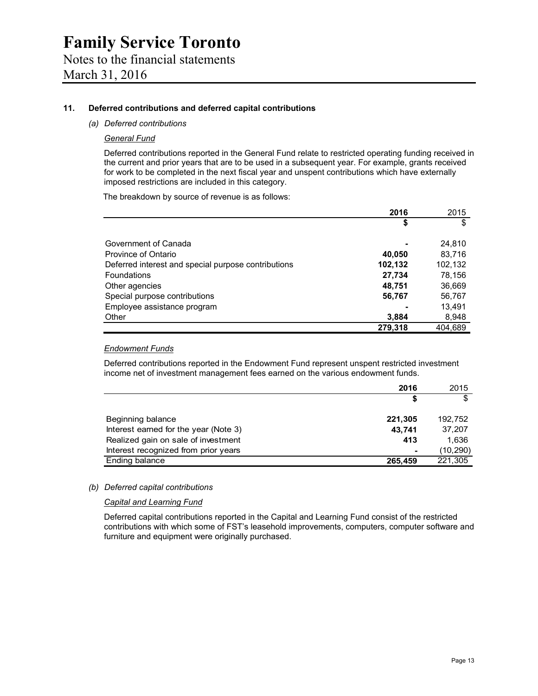#### **11. Deferred contributions and deferred capital contributions**

#### *(a) Deferred contributions*

#### *General Fund*

Deferred contributions reported in the General Fund relate to restricted operating funding received in the current and prior years that are to be used in a subsequent year. For example, grants received for work to be completed in the next fiscal year and unspent contributions which have externally imposed restrictions are included in this category.

The breakdown by source of revenue is as follows:

|                                                     | 2016    | 2015    |
|-----------------------------------------------------|---------|---------|
|                                                     | \$      | \$      |
| Government of Canada                                |         | 24,810  |
| Province of Ontario                                 | 40,050  | 83,716  |
| Deferred interest and special purpose contributions | 102,132 | 102,132 |
| <b>Foundations</b>                                  | 27,734  | 78.156  |
| Other agencies                                      | 48,751  | 36,669  |
| Special purpose contributions                       | 56,767  | 56,767  |
| Employee assistance program                         |         | 13,491  |
| Other                                               | 3,884   | 8,948   |
|                                                     | 279,318 | 404.689 |

#### *Endowment Funds*

Deferred contributions reported in the Endowment Fund represent unspent restricted investment income net of investment management fees earned on the various endowment funds.

|                                       | 2016    | 2015      |
|---------------------------------------|---------|-----------|
|                                       |         | \$        |
| Beginning balance                     | 221,305 | 192.752   |
| Interest earned for the year (Note 3) | 43,741  | 37,207    |
| Realized gain on sale of investment   | 413     | 1.636     |
| Interest recognized from prior years  | ۰       | (10, 290) |
| Ending balance                        | 265,459 | 221,305   |

#### *(b) Deferred capital contributions*

#### *Capital and Learning Fund*

Deferred capital contributions reported in the Capital and Learning Fund consist of the restricted contributions with which some of FST's leasehold improvements, computers, computer software and furniture and equipment were originally purchased.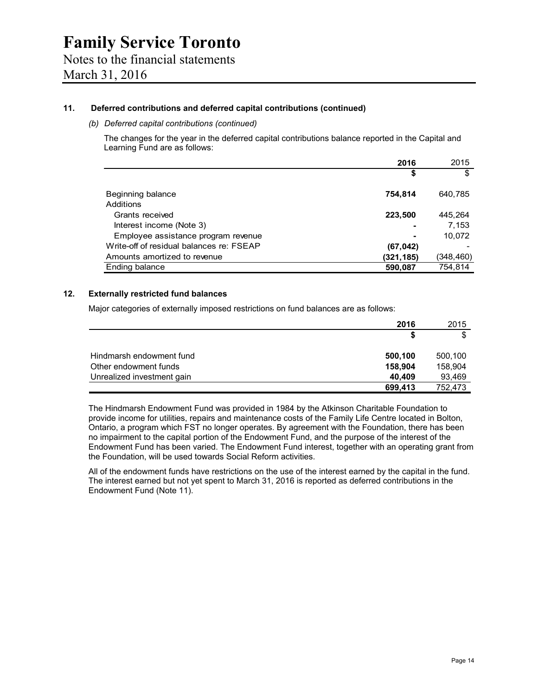#### **11. Deferred contributions and deferred capital contributions (continued)**

#### *(b) Deferred capital contributions (continued)*

The changes for the year in the deferred capital contributions balance reported in the Capital and Learning Fund are as follows:

|                                          | 2016      | 2015      |
|------------------------------------------|-----------|-----------|
|                                          | \$        | \$        |
|                                          |           |           |
| Beginning balance                        | 754.814   | 640,785   |
| Additions                                |           |           |
| Grants received                          | 223,500   | 445,264   |
| Interest income (Note 3)                 |           | 7,153     |
| Employee assistance program revenue      |           | 10.072    |
| Write-off of residual balances re: FSEAP | (67, 042) |           |
| Amounts amortized to revenue             | (321,185) | (348,460) |
| Ending balance                           | 590,087   | 754,814   |

#### **12. Externally restricted fund balances**

Major categories of externally imposed restrictions on fund balances are as follows:

|                            | 2016    | 2015    |
|----------------------------|---------|---------|
|                            |         |         |
| Hindmarsh endowment fund   | 500,100 | 500,100 |
| Other endowment funds      | 158.904 | 158.904 |
| Unrealized investment gain | 40.409  | 93,469  |
|                            | 699,413 | 752.473 |

The Hindmarsh Endowment Fund was provided in 1984 by the Atkinson Charitable Foundation to provide income for utilities, repairs and maintenance costs of the Family Life Centre located in Bolton, Ontario, a program which FST no longer operates. By agreement with the Foundation, there has been no impairment to the capital portion of the Endowment Fund, and the purpose of the interest of the Endowment Fund has been varied. The Endowment Fund interest, together with an operating grant from the Foundation, will be used towards Social Reform activities.

All of the endowment funds have restrictions on the use of the interest earned by the capital in the fund. The interest earned but not yet spent to March 31, 2016 is reported as deferred contributions in the Endowment Fund (Note 11).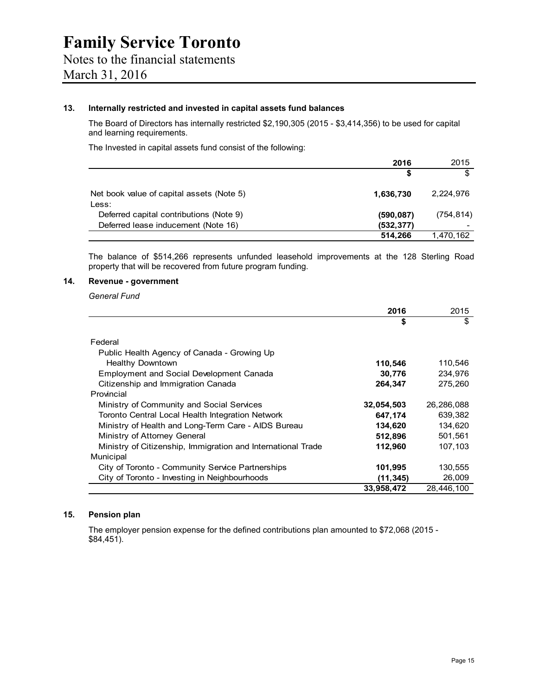#### **13. Internally restricted and invested in capital assets fund balances**

The Board of Directors has internally restricted \$2,190,305 (2015 - \$3,414,356) to be used for capital and learning requirements.

The Invested in capital assets fund consist of the following:

|                                                    | 2016       | 2015       |
|----------------------------------------------------|------------|------------|
|                                                    | S          | \$         |
| Net book value of capital assets (Note 5)<br>Less: | 1,636,730  | 2.224.976  |
| Deferred capital contributions (Note 9)            | (590, 087) | (754, 814) |
| Deferred lease inducement (Note 16)                | (532, 377) |            |
|                                                    | 514.266    | 1.470.162  |

The balance of \$514,266 represents unfunded leasehold improvements at the 128 Sterling Road property that will be recovered from future program funding.

#### **14. Revenue - government**

*General Fund* 

|                                                              | 2016       | 2015       |
|--------------------------------------------------------------|------------|------------|
|                                                              | \$         | \$         |
| Federal                                                      |            |            |
| Public Health Agency of Canada - Growing Up                  |            |            |
| <b>Healthy Downtown</b>                                      | 110,546    | 110,546    |
| Employment and Social Development Canada                     | 30,776     | 234,976    |
| Citizenship and Immigration Canada                           | 264,347    | 275,260    |
| Provincial                                                   |            |            |
| Ministry of Community and Social Services                    | 32,054,503 | 26,286,088 |
| Toronto Central Local Health Integration Network             | 647,174    | 639,382    |
| Ministry of Health and Long-Term Care - AIDS Bureau          | 134,620    | 134,620    |
| Ministry of Attorney General                                 | 512,896    | 501.561    |
| Ministry of Citizenship, Immigration and International Trade | 112,960    | 107,103    |
| Municipal                                                    |            |            |
| City of Toronto - Community Service Partnerships             | 101,995    | 130,555    |
| City of Toronto - Investing in Neighbourhoods                | (11, 345)  | 26,009     |
|                                                              | 33,958,472 | 28.446.100 |

#### **15. Pension plan**

The employer pension expense for the defined contributions plan amounted to \$72,068 (2015 - \$84,451).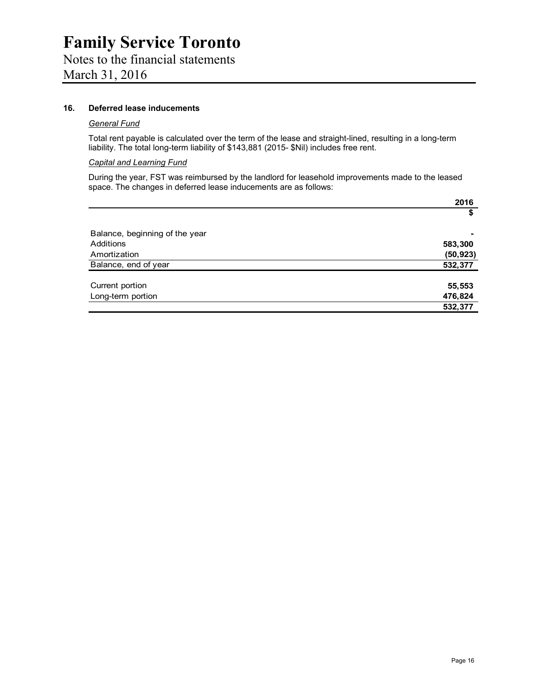### Notes to the financial statements March 31, 2016

#### **16. Deferred lease inducements**

#### *General Fund*

Total rent payable is calculated over the term of the lease and straight-lined, resulting in a long-term liability. The total long-term liability of \$143,881 (2015- \$Nil) includes free rent.

#### *Capital and Learning Fund*

During the year, FST was reimbursed by the landlord for leasehold improvements made to the leased space. The changes in deferred lease inducements are as follows:

|                                | 2016      |
|--------------------------------|-----------|
|                                | \$        |
| Balance, beginning of the year | -         |
| Additions                      | 583,300   |
| Amortization                   | (50, 923) |
| Balance, end of year           | 532,377   |
| Current portion                | 55,553    |
| Long-term portion              | 476,824   |
|                                | 532,377   |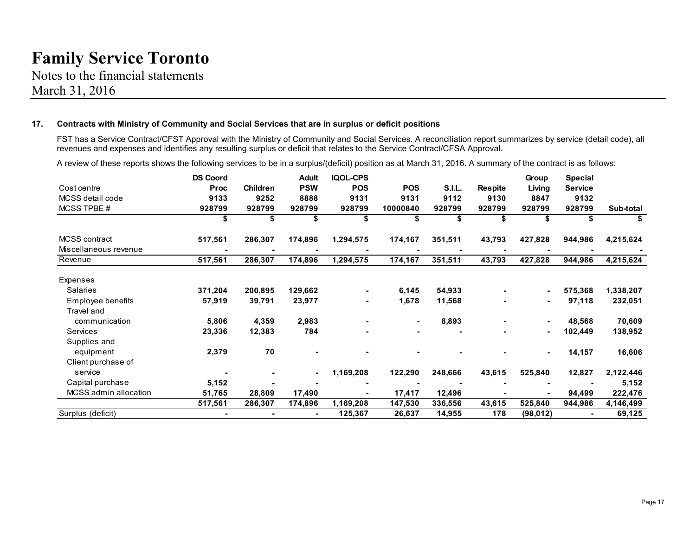Notes to the financial statements March 31, 2016

#### **17. Contracts with Ministry of Community and Social Services that are in surplus or deficit positions**

FST has a Service Contract/CFST Approval with the Ministry of Community and Social Services. A reconciliation report summarizes by service (detail code), all revenues and expenses and identifies any resulting surplus or deficit that relates to the Service Contract/CFSA Approval.

A review of these reports shows the following services to be in a surplus/(deficit) position as at March 31, 2016. A summary of the contract is as follows:

|                       | <b>DS Coord</b> |                 | <b>Adult</b> | <b>IQOL-CPS</b>          |            |               |                | Group          | <b>Special</b> |           |
|-----------------------|-----------------|-----------------|--------------|--------------------------|------------|---------------|----------------|----------------|----------------|-----------|
| Cost centre           | <b>Proc</b>     | <b>Children</b> | <b>PSW</b>   | <b>POS</b>               | <b>POS</b> | <b>S.I.L.</b> | <b>Respite</b> | Living         | <b>Service</b> |           |
| MCSS detail code      | 9133            | 9252            | 8888         | 9131                     | 9131       | 9112          | 9130           | 8847           | 9132           |           |
| MCSS TPBE#            | 928799          | 928799          | 928799       | 928799                   | 10000840   | 928799        | 928799         | 928799         | 928799         | Sub-total |
|                       |                 | S               | S            | \$                       | S          |               | S              | \$             | \$             |           |
| MCSS contract         | 517,561         | 286,307         | 174,896      | 1,294,575                | 174,167    | 351,511       | 43,793         | 427,828        | 944,986        | 4,215,624 |
| Miscellaneous revenue |                 |                 |              |                          |            |               |                |                |                |           |
| Revenue               | 517,561         | 286,307         | 174,896      | 1,294,575                | 174,167    | 351,511       | 43,793         | 427,828        | 944,986        | 4,215,624 |
| Expenses              |                 |                 |              |                          |            |               |                |                |                |           |
| <b>Salaries</b>       | 371,204         | 200,895         | 129,662      | $\blacksquare$           | 6,145      | 54,933        |                | $\blacksquare$ | 575,368        | 1,338,207 |
| Employee benefits     | 57,919          | 39,791          | 23,977       | $\overline{\phantom{0}}$ | 1,678      | 11,568        |                | $\blacksquare$ | 97,118         | 232,051   |
| Travel and            |                 |                 |              |                          |            |               |                |                |                |           |
| communication         | 5,806           | 4,359           | 2,983        |                          |            | 8,893         |                | $\blacksquare$ | 48,568         | 70,609    |
| Services              | 23,336          | 12,383          | 784          |                          |            |               |                | $\blacksquare$ | 102,449        | 138,952   |
| Supplies and          |                 |                 |              |                          |            |               |                |                |                |           |
| equipment             | 2,379           | 70              |              |                          |            |               |                | $\blacksquare$ | 14,157         | 16,606    |
| Client purchase of    |                 |                 |              |                          |            |               |                |                |                |           |
| service               |                 |                 | ۰.           | 1,169,208                | 122,290    | 248,666       | 43,615         | 525,840        | 12,827         | 2,122,446 |
| Capital purchase      | 5,152           |                 |              |                          |            |               |                |                |                | 5,152     |
| MCSS admin allocation | 51,765          | 28,809          | 17,490       |                          | 17,417     | 12,496        |                |                | 94,499         | 222,476   |
|                       | 517,561         | 286,307         | 174,896      | 1,169,208                | 147,530    | 336,556       | 43,615         | 525,840        | 944,986        | 4,146,499 |
| Surplus (deficit)     |                 |                 |              | 125,367                  | 26,637     | 14,955        | 178            | (98, 012)      |                | 69,125    |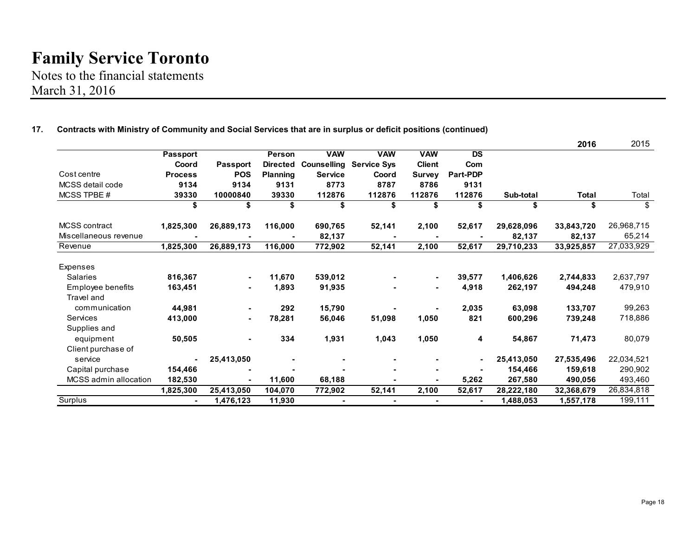Notes to the financial statements March 31, 2016

|                       |                 |                 |                 |                    |                    |               |                        |            | 2016       | 2015       |
|-----------------------|-----------------|-----------------|-----------------|--------------------|--------------------|---------------|------------------------|------------|------------|------------|
|                       | <b>Passport</b> |                 | Person          | <b>VAW</b>         | <b>VAW</b>         | <b>VAW</b>    | $\overline{\text{DS}}$ |            |            |            |
|                       | Coord           | <b>Passport</b> | <b>Directed</b> | <b>Counselling</b> | <b>Service Sys</b> | <b>Client</b> | Com                    |            |            |            |
| Cost centre           | <b>Process</b>  | <b>POS</b>      | <b>Planning</b> | <b>Service</b>     | Coord              | <b>Survey</b> | Part-PDP               |            |            |            |
| MCSS detail code      | 9134            | 9134            | 9131            | 8773               | 8787               | 8786          | 9131                   |            |            |            |
| MCSS TPBE #           | 39330           | 10000840        | 39330           | 112876             | 112876             | 112876        | 112876                 | Sub-total  | Total      | Total      |
|                       | S               | \$              | \$              | \$                 | \$                 | \$            | \$                     | \$         | \$         | \$         |
| <b>MCSS</b> contract  | 1,825,300       | 26,889,173      | 116,000         | 690,765            | 52,141             | 2,100         | 52,617                 | 29,628,096 | 33,843,720 | 26,968,715 |
| Miscellaneous revenue |                 |                 |                 | 82,137             |                    |               |                        | 82,137     | 82,137     | 65,214     |
| Revenue               | 1,825,300       | 26,889,173      | 116,000         | 772,902            | 52,141             | 2,100         | 52,617                 | 29,710,233 | 33,925,857 | 27,033,929 |
| Expenses              |                 |                 |                 |                    |                    |               |                        |            |            |            |
| <b>Salaries</b>       | 816.367         | $\blacksquare$  | 11.670          | 539,012            |                    |               | 39,577                 | 1,406,626  | 2,744,833  | 2,637,797  |
| Employee benefits     | 163,451         |                 | 1,893           | 91,935             |                    |               | 4,918                  | 262,197    | 494,248    | 479,910    |
| Travel and            |                 |                 |                 |                    |                    |               |                        |            |            |            |
| communication         | 44,981          |                 | 292             | 15,790             |                    |               | 2,035                  | 63,098     | 133,707    | 99,263     |
| Services              | 413,000         |                 | 78,281          | 56,046             | 51,098             | 1,050         | 821                    | 600,296    | 739,248    | 718,886    |
| Supplies and          |                 |                 |                 |                    |                    |               |                        |            |            |            |
| equipment             | 50,505          |                 | 334             | 1,931              | 1,043              | 1,050         | 4                      | 54,867     | 71,473     | 80,079     |
| Client purchase of    |                 |                 |                 |                    |                    |               |                        |            |            |            |
| service               |                 | 25,413,050      |                 |                    |                    |               | ٠                      | 25,413,050 | 27,535,496 | 22,034,521 |
| Capital purchase      | 154,466         |                 |                 |                    |                    |               | $\blacksquare$         | 154,466    | 159,618    | 290,902    |
| MCSS admin allocation | 182,530         | $\blacksquare$  | 11,600          | 68,188             |                    |               | 5,262                  | 267,580    | 490,056    | 493,460    |
|                       | 1,825,300       | 25,413,050      | 104,070         | 772,902            | 52,141             | 2,100         | 52,617                 | 28,222,180 | 32,368,679 | 26,834,818 |
| Surplus               |                 | 1,476,123       | 11,930          | $\blacksquare$     |                    |               |                        | 1,488,053  | 1,557,178  | 199,111    |

#### **17. Contracts with Ministry of Community and Social Services that are in surplus or deficit positions (continued)**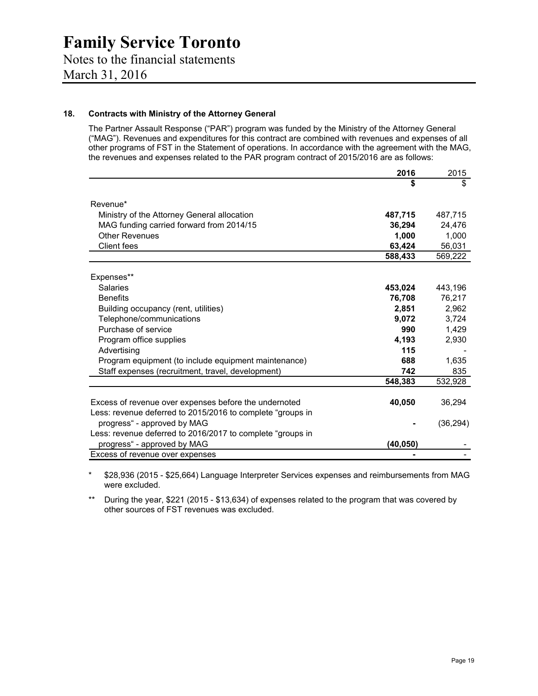March 31, 2016

#### **18. Contracts with Ministry of the Attorney General**

The Partner Assault Response ("PAR") program was funded by the Ministry of the Attorney General ("MAG"). Revenues and expenditures for this contract are combined with revenues and expenses of all other programs of FST in the Statement of operations. In accordance with the agreement with the MAG, the revenues and expenses related to the PAR program contract of 2015/2016 are as follows:

| \$<br>\$<br>Revenue*<br>Ministry of the Attorney General allocation<br>487,715<br>487,715<br>MAG funding carried forward from 2014/15<br>36,294<br>24,476<br><b>Other Revenues</b><br>1,000<br>1.000<br>Client fees<br>63,424<br>56,031<br>588,433<br>569,222<br>Expenses**<br>Salaries<br>453,024<br>443,196<br><b>Benefits</b><br>76,708<br>76,217<br>2,851<br>2,962<br>Building occupancy (rent, utilities)<br>Telephone/communications<br>9.072<br>3.724<br>Purchase of service<br>990<br>1,429<br>Program office supplies<br>4,193<br>2,930<br>115<br>Advertising<br>1,635<br>Program equipment (to include equipment maintenance)<br>688<br>Staff expenses (recruitment, travel, development)<br>835<br>742<br>548,383<br>532,928<br>Excess of revenue over expenses before the undernoted<br>40,050<br>36,294<br>Less: revenue deferred to 2015/2016 to complete "groups in<br>progress" - approved by MAG<br>(36, 294)<br>Less: revenue deferred to 2016/2017 to complete "groups in |                             | 2016     | 2015 |
|----------------------------------------------------------------------------------------------------------------------------------------------------------------------------------------------------------------------------------------------------------------------------------------------------------------------------------------------------------------------------------------------------------------------------------------------------------------------------------------------------------------------------------------------------------------------------------------------------------------------------------------------------------------------------------------------------------------------------------------------------------------------------------------------------------------------------------------------------------------------------------------------------------------------------------------------------------------------------------------------|-----------------------------|----------|------|
|                                                                                                                                                                                                                                                                                                                                                                                                                                                                                                                                                                                                                                                                                                                                                                                                                                                                                                                                                                                              |                             |          |      |
|                                                                                                                                                                                                                                                                                                                                                                                                                                                                                                                                                                                                                                                                                                                                                                                                                                                                                                                                                                                              |                             |          |      |
|                                                                                                                                                                                                                                                                                                                                                                                                                                                                                                                                                                                                                                                                                                                                                                                                                                                                                                                                                                                              |                             |          |      |
|                                                                                                                                                                                                                                                                                                                                                                                                                                                                                                                                                                                                                                                                                                                                                                                                                                                                                                                                                                                              |                             |          |      |
|                                                                                                                                                                                                                                                                                                                                                                                                                                                                                                                                                                                                                                                                                                                                                                                                                                                                                                                                                                                              |                             |          |      |
|                                                                                                                                                                                                                                                                                                                                                                                                                                                                                                                                                                                                                                                                                                                                                                                                                                                                                                                                                                                              |                             |          |      |
|                                                                                                                                                                                                                                                                                                                                                                                                                                                                                                                                                                                                                                                                                                                                                                                                                                                                                                                                                                                              |                             |          |      |
|                                                                                                                                                                                                                                                                                                                                                                                                                                                                                                                                                                                                                                                                                                                                                                                                                                                                                                                                                                                              |                             |          |      |
|                                                                                                                                                                                                                                                                                                                                                                                                                                                                                                                                                                                                                                                                                                                                                                                                                                                                                                                                                                                              |                             |          |      |
|                                                                                                                                                                                                                                                                                                                                                                                                                                                                                                                                                                                                                                                                                                                                                                                                                                                                                                                                                                                              |                             |          |      |
|                                                                                                                                                                                                                                                                                                                                                                                                                                                                                                                                                                                                                                                                                                                                                                                                                                                                                                                                                                                              |                             |          |      |
|                                                                                                                                                                                                                                                                                                                                                                                                                                                                                                                                                                                                                                                                                                                                                                                                                                                                                                                                                                                              |                             |          |      |
|                                                                                                                                                                                                                                                                                                                                                                                                                                                                                                                                                                                                                                                                                                                                                                                                                                                                                                                                                                                              |                             |          |      |
|                                                                                                                                                                                                                                                                                                                                                                                                                                                                                                                                                                                                                                                                                                                                                                                                                                                                                                                                                                                              |                             |          |      |
|                                                                                                                                                                                                                                                                                                                                                                                                                                                                                                                                                                                                                                                                                                                                                                                                                                                                                                                                                                                              |                             |          |      |
|                                                                                                                                                                                                                                                                                                                                                                                                                                                                                                                                                                                                                                                                                                                                                                                                                                                                                                                                                                                              |                             |          |      |
|                                                                                                                                                                                                                                                                                                                                                                                                                                                                                                                                                                                                                                                                                                                                                                                                                                                                                                                                                                                              |                             |          |      |
|                                                                                                                                                                                                                                                                                                                                                                                                                                                                                                                                                                                                                                                                                                                                                                                                                                                                                                                                                                                              |                             |          |      |
|                                                                                                                                                                                                                                                                                                                                                                                                                                                                                                                                                                                                                                                                                                                                                                                                                                                                                                                                                                                              |                             |          |      |
|                                                                                                                                                                                                                                                                                                                                                                                                                                                                                                                                                                                                                                                                                                                                                                                                                                                                                                                                                                                              |                             |          |      |
|                                                                                                                                                                                                                                                                                                                                                                                                                                                                                                                                                                                                                                                                                                                                                                                                                                                                                                                                                                                              |                             |          |      |
|                                                                                                                                                                                                                                                                                                                                                                                                                                                                                                                                                                                                                                                                                                                                                                                                                                                                                                                                                                                              |                             |          |      |
|                                                                                                                                                                                                                                                                                                                                                                                                                                                                                                                                                                                                                                                                                                                                                                                                                                                                                                                                                                                              |                             |          |      |
| Excess of revenue over expenses                                                                                                                                                                                                                                                                                                                                                                                                                                                                                                                                                                                                                                                                                                                                                                                                                                                                                                                                                              | progress" - approved by MAG | (40,050) |      |

\* \$28,936 (2015 - \$25,664) Language Interpreter Services expenses and reimbursements from MAG were excluded.

During the year, \$221 (2015 - \$13,634) of expenses related to the program that was covered by other sources of FST revenues was excluded.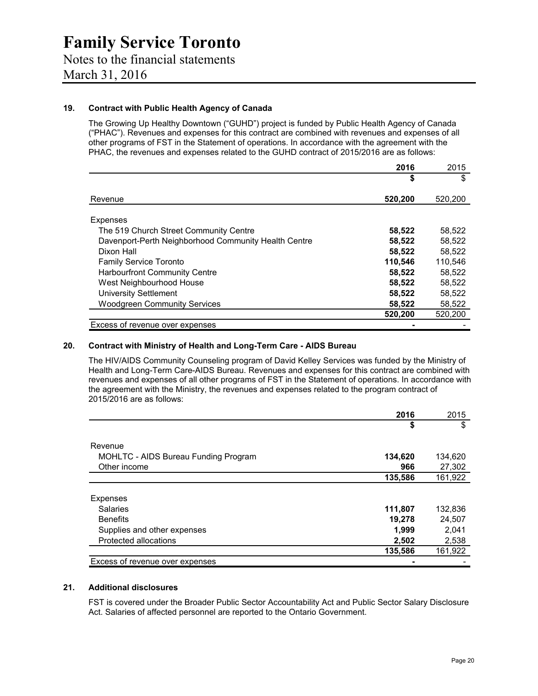#### **19. Contract with Public Health Agency of Canada**

The Growing Up Healthy Downtown ("GUHD") project is funded by Public Health Agency of Canada ("PHAC"). Revenues and expenses for this contract are combined with revenues and expenses of all other programs of FST in the Statement of operations. In accordance with the agreement with the PHAC, the revenues and expenses related to the GUHD contract of 2015/2016 are as follows:

|                                                      | 2016    | 2015    |
|------------------------------------------------------|---------|---------|
|                                                      | S       | \$      |
| Revenue                                              | 520,200 | 520,200 |
| <b>Expenses</b>                                      |         |         |
| The 519 Church Street Community Centre               | 58,522  | 58,522  |
| Davenport-Perth Neighborhood Community Health Centre | 58,522  | 58,522  |
| Dixon Hall                                           | 58,522  | 58,522  |
| Family Service Toronto                               | 110.546 | 110.546 |
| <b>Harbourfront Community Centre</b>                 | 58,522  | 58,522  |
| West Neighbourhood House                             | 58,522  | 58,522  |
| <b>University Settlement</b>                         | 58,522  | 58,522  |
| <b>Woodgreen Community Services</b>                  | 58,522  | 58,522  |
|                                                      | 520,200 | 520,200 |
| Excess of revenue over expenses                      |         |         |

#### **20. Contract with Ministry of Health and Long-Term Care - AIDS Bureau**

The HIV/AIDS Community Counseling program of David Kelley Services was funded by the Ministry of Health and Long-Term Care-AIDS Bureau. Revenues and expenses for this contract are combined with revenues and expenses of all other programs of FST in the Statement of operations. In accordance with the agreement with the Ministry, the revenues and expenses related to the program contract of 2015/2016 are as follows:

|                                      | 2016    | 2015    |
|--------------------------------------|---------|---------|
|                                      | S       | \$      |
| Revenue                              |         |         |
| MOHLTC - AIDS Bureau Funding Program | 134,620 | 134,620 |
| Other income                         | 966     | 27,302  |
|                                      | 135,586 | 161,922 |
|                                      |         |         |
| Expenses                             |         |         |
| <b>Salaries</b>                      | 111,807 | 132,836 |
| <b>Benefits</b>                      | 19,278  | 24,507  |
| Supplies and other expenses          | 1,999   | 2,041   |
| Protected allocations                | 2,502   | 2,538   |
|                                      | 135,586 | 161,922 |
| Excess of revenue over expenses      |         |         |

#### **21. Additional disclosures**

FST is covered under the Broader Public Sector Accountability Act and Public Sector Salary Disclosure Act. Salaries of affected personnel are reported to the Ontario Government.